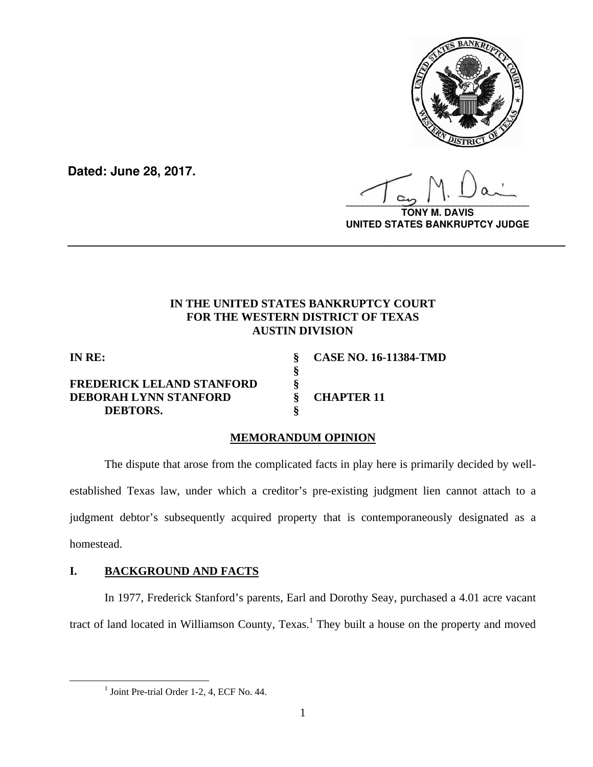

**Dated: June 28, 2017.**

**\_\_\_\_\_\_\_\_\_\_\_\_\_\_\_\_\_\_\_\_\_\_\_\_\_\_\_\_\_\_\_\_\_\_**

**VIS UNITED STATES BANKRUPTCY JUDGE**

## **IN THE UNITED STATES BANKRUPTCY COURT FOR THE WESTERN DISTRICT OF TEXAS AUSTIN DIVISION**

**\_\_\_\_\_\_\_\_\_\_\_\_\_\_\_\_\_\_\_\_\_\_\_\_\_\_\_\_\_\_\_\_\_\_\_\_\_\_\_\_\_\_\_\_\_\_\_\_\_\_\_\_\_\_\_\_\_\_\_\_\_\_\_\_\_\_**

## **FREDERICK LELAND STANFORD § DEBORAH LYNN STANFORD § CHAPTER 11 DEBTORS. §**

 **§** 

**IN RE: § CASE NO. 16-11384-TMD** 

# **MEMORANDUM OPINION**

 The dispute that arose from the complicated facts in play here is primarily decided by wellestablished Texas law, under which a creditor's pre-existing judgment lien cannot attach to a judgment debtor's subsequently acquired property that is contemporaneously designated as a homestead.

# **I. BACKGROUND AND FACTS**

In 1977, Frederick Stanford's parents, Earl and Dorothy Seay, purchased a 4.01 acre vacant tract of land located in Williamson County, Texas.<sup>1</sup> They built a house on the property and moved

 <sup>1</sup> Joint Pre-trial Order 1-2, 4, ECF No. 44.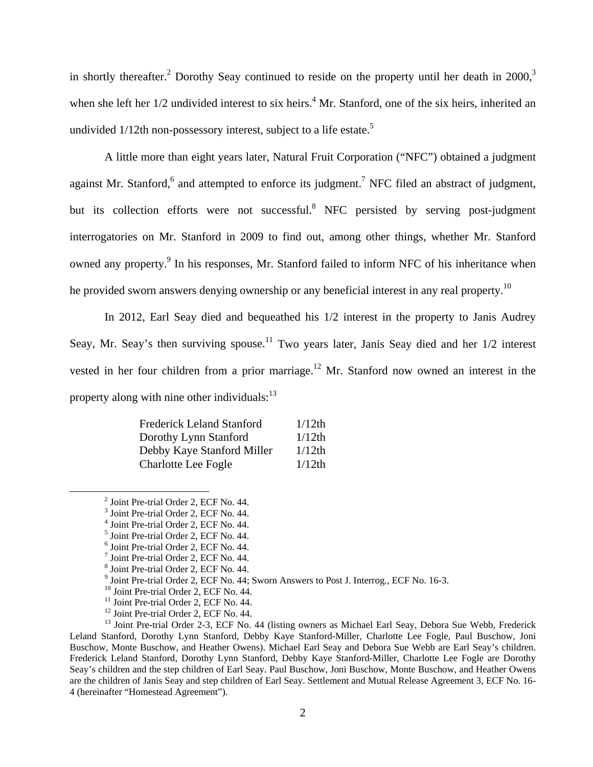in shortly thereafter.<sup>2</sup> Dorothy Seay continued to reside on the property until her death in 2000,<sup>3</sup> when she left her  $1/2$  undivided interest to six heirs.<sup>4</sup> Mr. Stanford, one of the six heirs, inherited an undivided  $1/12$ th non-possessory interest, subject to a life estate.<sup>5</sup>

A little more than eight years later, Natural Fruit Corporation ("NFC") obtained a judgment against Mr. Stanford,  $6$  and attempted to enforce its judgment.<sup>7</sup> NFC filed an abstract of judgment, but its collection efforts were not successful.<sup>8</sup> NFC persisted by serving post-judgment interrogatories on Mr. Stanford in 2009 to find out, among other things, whether Mr. Stanford owned any property.<sup>9</sup> In his responses, Mr. Stanford failed to inform NFC of his inheritance when he provided sworn answers denying ownership or any beneficial interest in any real property.<sup>10</sup>

In 2012, Earl Seay died and bequeathed his 1/2 interest in the property to Janis Audrey Seay, Mr. Seay's then surviving spouse.<sup>11</sup> Two years later, Janis Seay died and her  $1/2$  interest vested in her four children from a prior marriage.<sup>12</sup> Mr. Stanford now owned an interest in the property along with nine other individuals: $^{13}$ 

| <b>Frederick Leland Stanford</b> | $1/12$ th |
|----------------------------------|-----------|
| Dorothy Lynn Stanford            | $1/12$ th |
| Debby Kaye Stanford Miller       | $1/12$ th |
| <b>Charlotte Lee Fogle</b>       | $1/12$ th |

 <sup>2</sup> Joint Pre-trial Order 2, ECF No. 44.

<sup>3</sup> Joint Pre-trial Order 2, ECF No. 44.

<sup>4</sup> Joint Pre-trial Order 2, ECF No. 44.

<sup>5</sup> Joint Pre-trial Order 2, ECF No. 44.

<sup>6</sup> Joint Pre-trial Order 2, ECF No. 44.

<sup>7</sup> Joint Pre-trial Order 2, ECF No. 44.

<sup>8</sup> Joint Pre-trial Order 2, ECF No. 44.

 $9^9$  Joint Pre-trial Order 2, ECF No. 44; Sworn Answers to Post J. Interrog., ECF No. 16-3.  $^{10}$  Joint Pre-trial Order 2, ECF No. 44.

 $^{10}$  Joint Pre-trial Order 2, ECF No. 44.<br> $^{11}$  Joint Pre-trial Order 2, ECF No. 44.

<sup>&</sup>lt;sup>12</sup> Joint Pre-trial Order 2, ECF No. 44.

<sup>&</sup>lt;sup>13</sup> Joint Pre-trial Order 2-3, ECF No. 44 (listing owners as Michael Earl Seay, Debora Sue Webb, Frederick Leland Stanford, Dorothy Lynn Stanford, Debby Kaye Stanford-Miller, Charlotte Lee Fogle, Paul Buschow, Joni Buschow, Monte Buschow, and Heather Owens). Michael Earl Seay and Debora Sue Webb are Earl Seay's children. Frederick Leland Stanford, Dorothy Lynn Stanford, Debby Kaye Stanford-Miller, Charlotte Lee Fogle are Dorothy Seay's children and the step children of Earl Seay. Paul Buschow, Joni Buschow, Monte Buschow, and Heather Owens are the children of Janis Seay and step children of Earl Seay. Settlement and Mutual Release Agreement 3, ECF No. 16- 4 (hereinafter "Homestead Agreement").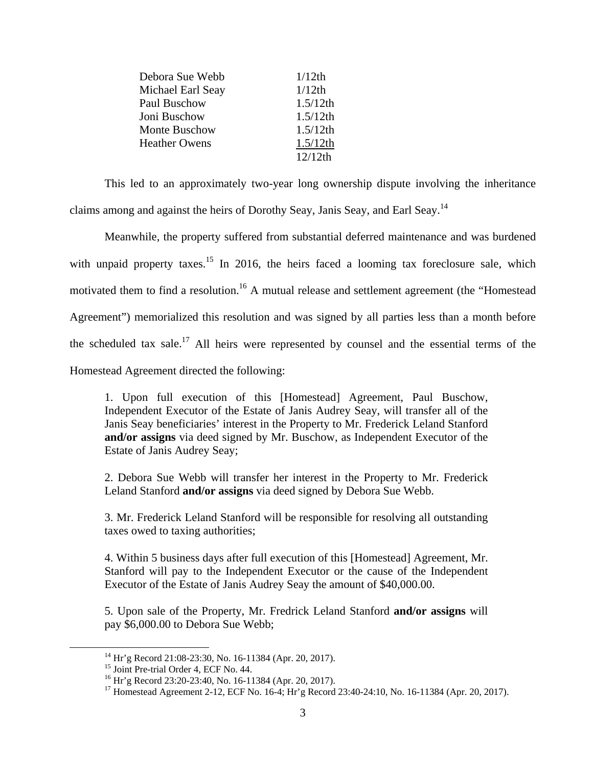| Debora Sue Webb      | $1/12$ th   |
|----------------------|-------------|
| Michael Earl Seay    | $1/12$ th   |
| Paul Buschow         | $1.5/12$ th |
| Joni Buschow         | $1.5/12$ th |
| <b>Monte Buschow</b> | $1.5/12$ th |
| <b>Heather Owens</b> | $1.5/12$ th |
|                      | $12/12$ th  |

This led to an approximately two-year long ownership dispute involving the inheritance claims among and against the heirs of Dorothy Seay, Janis Seay, and Earl Seay.14

Meanwhile, the property suffered from substantial deferred maintenance and was burdened with unpaid property taxes.<sup>15</sup> In 2016, the heirs faced a looming tax foreclosure sale, which motivated them to find a resolution.<sup>16</sup> A mutual release and settlement agreement (the "Homestead") Agreement") memorialized this resolution and was signed by all parties less than a month before the scheduled tax sale.<sup>17</sup> All heirs were represented by counsel and the essential terms of the Homestead Agreement directed the following:

1. Upon full execution of this [Homestead] Agreement, Paul Buschow, Independent Executor of the Estate of Janis Audrey Seay, will transfer all of the Janis Seay beneficiaries' interest in the Property to Mr. Frederick Leland Stanford **and/or assigns** via deed signed by Mr. Buschow, as Independent Executor of the Estate of Janis Audrey Seay;

2. Debora Sue Webb will transfer her interest in the Property to Mr. Frederick Leland Stanford **and/or assigns** via deed signed by Debora Sue Webb.

3. Mr. Frederick Leland Stanford will be responsible for resolving all outstanding taxes owed to taxing authorities;

4. Within 5 business days after full execution of this [Homestead] Agreement, Mr. Stanford will pay to the Independent Executor or the cause of the Independent Executor of the Estate of Janis Audrey Seay the amount of \$40,000.00.

5. Upon sale of the Property, Mr. Fredrick Leland Stanford **and/or assigns** will pay \$6,000.00 to Debora Sue Webb;

 14 Hr'g Record 21:08-23:30, No. 16-11384 (Apr. 20, 2017).

<sup>&</sup>lt;sup>15</sup> Joint Pre-trial Order 4, ECF No. 44.

<sup>&</sup>lt;sup>16</sup> Hr'g Record 23:20-23:40, No. 16-11384 (Apr. 20, 2017).

<sup>&</sup>lt;sup>17</sup> Homestead Agreement 2-12, ECF No. 16-4; Hr'g Record 23:40-24:10, No. 16-11384 (Apr. 20, 2017).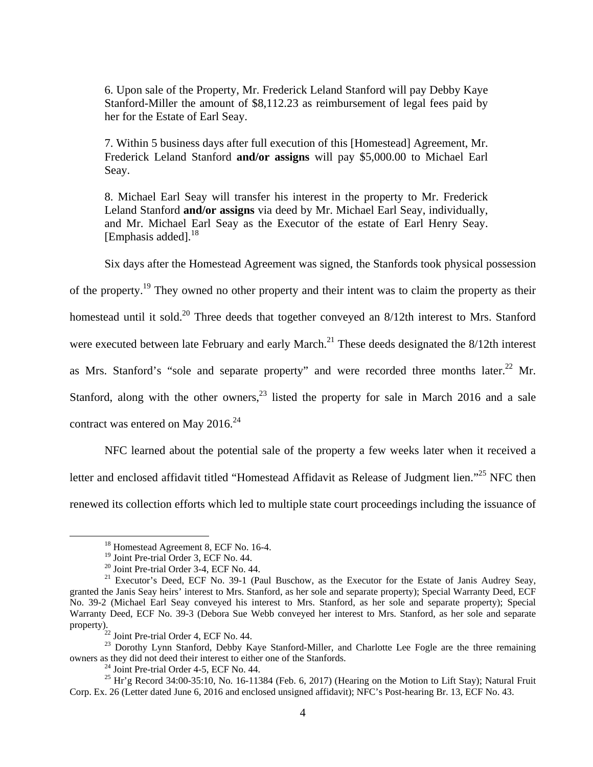6. Upon sale of the Property, Mr. Frederick Leland Stanford will pay Debby Kaye Stanford-Miller the amount of \$8,112.23 as reimbursement of legal fees paid by her for the Estate of Earl Seay.

7. Within 5 business days after full execution of this [Homestead] Agreement, Mr. Frederick Leland Stanford **and/or assigns** will pay \$5,000.00 to Michael Earl Seay.

8. Michael Earl Seay will transfer his interest in the property to Mr. Frederick Leland Stanford **and/or assigns** via deed by Mr. Michael Earl Seay, individually, and Mr. Michael Earl Seay as the Executor of the estate of Earl Henry Seay. [Emphasis added]. $^{18}$ 

Six days after the Homestead Agreement was signed, the Stanfords took physical possession

of the property.<sup>19</sup> They owned no other property and their intent was to claim the property as their homestead until it sold.<sup>20</sup> Three deeds that together conveyed an 8/12th interest to Mrs. Stanford were executed between late February and early March.<sup>21</sup> These deeds designated the 8/12th interest as Mrs. Stanford's "sole and separate property" and were recorded three months later.<sup>22</sup> Mr. Stanford, along with the other owners,  $2<sup>3</sup>$  listed the property for sale in March 2016 and a sale contract was entered on May  $2016.<sup>24</sup>$ 

NFC learned about the potential sale of the property a few weeks later when it received a letter and enclosed affidavit titled "Homestead Affidavit as Release of Judgment lien."<sup>25</sup> NFC then renewed its collection efforts which led to multiple state court proceedings including the issuance of

<sup>&</sup>lt;sup>18</sup> Homestead Agreement 8, ECF No. 16-4.

<sup>19</sup> Joint Pre-trial Order 3, ECF No. 44.

<sup>20</sup> Joint Pre-trial Order 3-4, ECF No. 44.

<sup>&</sup>lt;sup>21</sup> Executor's Deed, ECF No. 39-1 (Paul Buschow, as the Executor for the Estate of Janis Audrey Seay, granted the Janis Seay heirs' interest to Mrs. Stanford, as her sole and separate property); Special Warranty Deed, ECF No. 39-2 (Michael Earl Seay conveyed his interest to Mrs. Stanford, as her sole and separate property); Special Warranty Deed, ECF No. 39-3 (Debora Sue Webb conveyed her interest to Mrs. Stanford, as her sole and separate property).<br><sup>22</sup> Joint Pre-trial Order 4, ECF No. 44.

<sup>&</sup>lt;sup>23</sup> Dorothy Lynn Stanford, Debby Kaye Stanford-Miller, and Charlotte Lee Fogle are the three remaining owners as they did not deed their interest to either one of the Stanfords. 24 Joint Pre-trial Order 4-5, ECF No. 44.

<sup>&</sup>lt;sup>25</sup> Hr'g Record 34:00-35:10, No. 16-11384 (Feb. 6, 2017) (Hearing on the Motion to Lift Stay); Natural Fruit Corp. Ex. 26 (Letter dated June 6, 2016 and enclosed unsigned affidavit); NFC's Post-hearing Br. 13, ECF No. 43.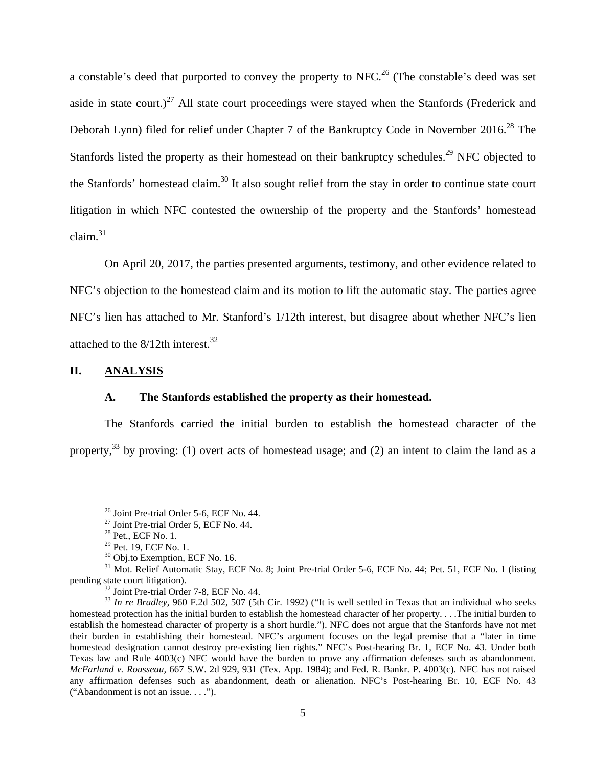a constable's deed that purported to convey the property to NFC.<sup>26</sup> (The constable's deed was set aside in state court.)<sup>27</sup> All state court proceedings were stayed when the Stanfords (Frederick and Deborah Lynn) filed for relief under Chapter 7 of the Bankruptcy Code in November 2016.<sup>28</sup> The Stanfords listed the property as their homestead on their bankruptcy schedules.<sup>29</sup> NFC objected to the Stanfords' homestead claim.30 It also sought relief from the stay in order to continue state court litigation in which NFC contested the ownership of the property and the Stanfords' homestead claim.31

On April 20, 2017, the parties presented arguments, testimony, and other evidence related to NFC's objection to the homestead claim and its motion to lift the automatic stay. The parties agree NFC's lien has attached to Mr. Stanford's 1/12th interest, but disagree about whether NFC's lien attached to the  $8/12$ th interest.<sup>32</sup>

### **II. ANALYSIS**

#### **A. The Stanfords established the property as their homestead.**

The Stanfords carried the initial burden to establish the homestead character of the property,<sup>33</sup> by proving: (1) overt acts of homestead usage; and (2) an intent to claim the land as a

 26 Joint Pre-trial Order 5-6, ECF No. 44.

<sup>27</sup> Joint Pre-trial Order 5, ECF No. 44.

<sup>28</sup> Pet., ECF No. 1.

 $29$  Pet. 19, ECF No. 1.

<sup>&</sup>lt;sup>30</sup> Obj.to Exemption, ECF No. 16.

<sup>&</sup>lt;sup>31</sup> Mot. Relief Automatic Stay, ECF No. 8; Joint Pre-trial Order 5-6, ECF No. 44; Pet. 51, ECF No. 1 (listing pending state court litigation).<br><sup>32</sup> Joint Pre-trial Order 7-8, ECF No. 44.

<sup>&</sup>lt;sup>33</sup> *In re Bradley*, 960 F.2d 502, 507 (5th Cir. 1992) ("It is well settled in Texas that an individual who seeks homestead protection has the initial burden to establish the homestead character of her property. . . .The initial burden to establish the homestead character of property is a short hurdle."). NFC does not argue that the Stanfords have not met their burden in establishing their homestead. NFC's argument focuses on the legal premise that a "later in time homestead designation cannot destroy pre-existing lien rights." NFC's Post-hearing Br. 1, ECF No. 43. Under both Texas law and Rule 4003(c) NFC would have the burden to prove any affirmation defenses such as abandonment. *McFarland v. Rousseau,* 667 S.W. 2d 929, 931 (Tex. App. 1984); and Fed. R. Bankr. P. 4003(c). NFC has not raised any affirmation defenses such as abandonment, death or alienation. NFC's Post-hearing Br. 10, ECF No. 43 ("Abandonment is not an issue. . . .").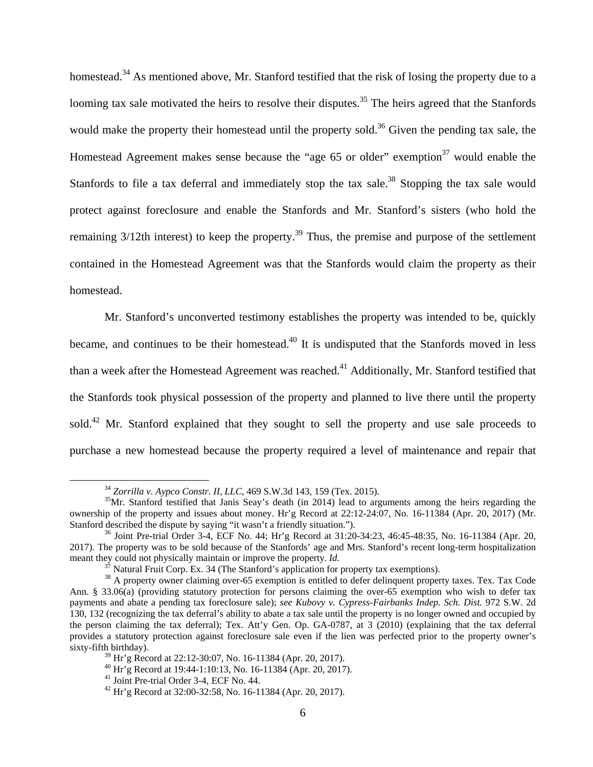homestead.<sup>34</sup> As mentioned above, Mr. Stanford testified that the risk of losing the property due to a looming tax sale motivated the heirs to resolve their disputes.<sup>35</sup> The heirs agreed that the Stanfords would make the property their homestead until the property sold.<sup>36</sup> Given the pending tax sale, the Homestead Agreement makes sense because the "age 65 or older" exemption<sup>37</sup> would enable the Stanfords to file a tax deferral and immediately stop the tax sale.<sup>38</sup> Stopping the tax sale would protect against foreclosure and enable the Stanfords and Mr. Stanford's sisters (who hold the remaining  $3/12$ th interest) to keep the property.<sup>39</sup> Thus, the premise and purpose of the settlement contained in the Homestead Agreement was that the Stanfords would claim the property as their homestead.

Mr. Stanford's unconverted testimony establishes the property was intended to be, quickly became, and continues to be their homestead.<sup>40</sup> It is undisputed that the Stanfords moved in less than a week after the Homestead Agreement was reached.<sup>41</sup> Additionally, Mr. Stanford testified that the Stanfords took physical possession of the property and planned to live there until the property sold.<sup>42</sup> Mr. Stanford explained that they sought to sell the property and use sale proceeds to purchase a new homestead because the property required a level of maintenance and repair that

 $34$  *Zorrilla v. Aypco Constr. II, LLC*, 469 S.W.3d 143, 159 (Tex. 2015).  $35$  Mr. Stanford testified that Janis Seay's death (in 2014) lead to arguments among the heirs regarding the ownership of the property and issues about money. Hr'g Record at 22:12-24:07, No. 16-11384 (Apr. 20, 2017) (Mr. Stanford described the dispute by saying "it wasn't a friendly situation.").<br><sup>36</sup> Joint Pre-trial Order 3-4, ECF No. 44; Hr'g Record at 31:20-34:23, 46:45-48:35, No. 16-11384 (Apr. 20,

<sup>2017).</sup> The property was to be sold because of the Stanfords' age and Mrs. Stanford's recent long-term hospitalization meant they could not physically maintain or improve the property. *Id.*<br> $37$  Natural Fruit Corp. Ex. 34 (The Stanford's application for property tax exemptions).<br> $38$  A property owner claiming over-65 exemption is entitle

Ann. § 33.06(a) (providing statutory protection for persons claiming the over-65 exemption who wish to defer tax payments and abate a pending tax foreclosure sale); *see Kubovy v. Cypress-Fairbanks Indep. Sch. Dist.* 972 S.W. 2d 130, 132 (recognizing the tax deferral's ability to abate a tax sale until the property is no longer owned and occupied by the person claiming the tax deferral); Tex. Att'y Gen. Op. GA-0787, at 3 (2010) (explaining that the tax deferral provides a statutory protection against foreclosure sale even if the lien was perfected prior to the property owner's sixty-fifth birthday).

 $39$  Hr'g Record at 22:12-30:07, No. 16-11384 (Apr. 20, 2017).

<sup>40</sup> Hr'g Record at 19:44-1:10:13, No. 16-11384 (Apr. 20, 2017).

<sup>41</sup> Joint Pre-trial Order 3-4, ECF No. 44.

 $^{42}$  Hr'g Record at 32:00-32:58, No. 16-11384 (Apr. 20, 2017).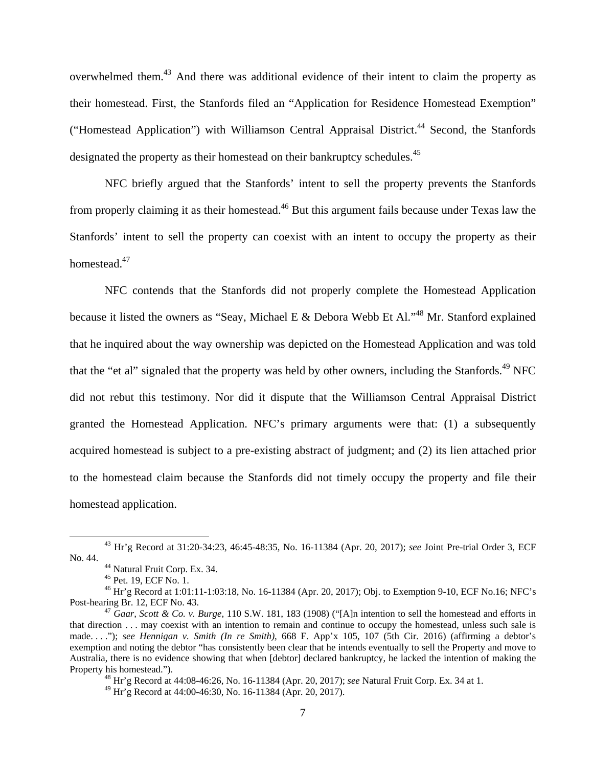overwhelmed them.43 And there was additional evidence of their intent to claim the property as their homestead. First, the Stanfords filed an "Application for Residence Homestead Exemption" ("Homestead Application") with Williamson Central Appraisal District.<sup>44</sup> Second, the Stanfords designated the property as their homestead on their bankruptcy schedules.<sup>45</sup>

NFC briefly argued that the Stanfords' intent to sell the property prevents the Stanfords from properly claiming it as their homestead.<sup>46</sup> But this argument fails because under Texas law the Stanfords' intent to sell the property can coexist with an intent to occupy the property as their homestead.<sup>47</sup>

NFC contends that the Stanfords did not properly complete the Homestead Application because it listed the owners as "Seay, Michael E & Debora Webb Et Al."<sup>48</sup> Mr. Stanford explained that he inquired about the way ownership was depicted on the Homestead Application and was told that the "et al" signaled that the property was held by other owners, including the Stanfords.<sup>49</sup> NFC did not rebut this testimony. Nor did it dispute that the Williamson Central Appraisal District granted the Homestead Application. NFC's primary arguments were that: (1) a subsequently acquired homestead is subject to a pre-existing abstract of judgment; and (2) its lien attached prior to the homestead claim because the Stanfords did not timely occupy the property and file their homestead application.

<sup>48</sup> Hr'g Record at 44:08-46:26, No. 16-11384 (Apr. 20, 2017); *see* Natural Fruit Corp. Ex. 34 at 1.

49 Hr'g Record at 44:00-46:30, No. 16-11384 (Apr. 20, 2017).

 43 Hr'g Record at 31:20-34:23, 46:45-48:35, No. 16-11384 (Apr. 20, 2017); *see* Joint Pre-trial Order 3, ECF

<sup>&</sup>lt;sup>44</sup> Natural Fruit Corp. Ex. 34.

<sup>45</sup> Pet. 19, ECF No. 1.

<sup>46</sup> Hr'g Record at 1:01:11-1:03:18, No. 16-11384 (Apr. 20, 2017); Obj. to Exemption 9-10, ECF No.16; NFC's

<sup>&</sup>lt;sup>47</sup> *Gaar, Scott & Co. v. Burge*, 110 S.W. 181, 183 (1908) ("[A]n intention to sell the homestead and efforts in that direction . . . may coexist with an intention to remain and continue to occupy the homestead, unless such sale is made. . . ."); *see Hennigan v. Smith (In re Smith)*, 668 F. App'x 105, 107 (5th Cir. 2016) (affirming a debtor's exemption and noting the debtor "has consistently been clear that he intends eventually to sell the Property and move to Australia, there is no evidence showing that when [debtor] declared bankruptcy, he lacked the intention of making the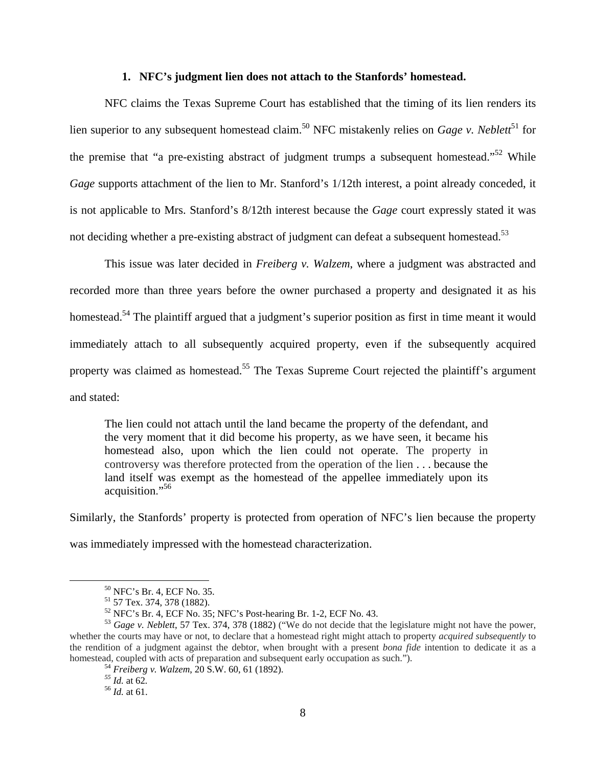#### **1. NFC's judgment lien does not attach to the Stanfords' homestead.**

NFC claims the Texas Supreme Court has established that the timing of its lien renders its lien superior to any subsequent homestead claim.<sup>50</sup> NFC mistakenly relies on *Gage v. Neblett*<sup>51</sup> for the premise that "a pre-existing abstract of judgment trumps a subsequent homestead."<sup>52</sup> While *Gage* supports attachment of the lien to Mr. Stanford's 1/12th interest, a point already conceded, it is not applicable to Mrs. Stanford's 8/12th interest because the *Gage* court expressly stated it was not deciding whether a pre-existing abstract of judgment can defeat a subsequent homestead.<sup>53</sup>

This issue was later decided in *Freiberg v. Walzem*, where a judgment was abstracted and recorded more than three years before the owner purchased a property and designated it as his homestead.<sup>54</sup> The plaintiff argued that a judgment's superior position as first in time meant it would immediately attach to all subsequently acquired property, even if the subsequently acquired property was claimed as homestead.<sup>55</sup> The Texas Supreme Court rejected the plaintiff's argument and stated:

The lien could not attach until the land became the property of the defendant, and the very moment that it did become his property, as we have seen, it became his homestead also, upon which the lien could not operate. The property in controversy was therefore protected from the operation of the lien . . . because the land itself was exempt as the homestead of the appellee immediately upon its acquisition." 56

Similarly, the Stanfords' property is protected from operation of NFC's lien because the property was immediately impressed with the homestead characterization.

 50 NFC's Br. 4, ECF No. 35.

<sup>51 57</sup> Tex. 374, 378 (1882).

<sup>52</sup> NFC's Br. 4, ECF No. 35; NFC's Post-hearing Br. 1-2, ECF No. 43.

<sup>53</sup> *Gage v. Neblett*, 57 Tex. 374, 378 (1882) ("We do not decide that the legislature might not have the power, whether the courts may have or not, to declare that a homestead right might attach to property *acquired subsequently* to the rendition of a judgment against the debtor, when brought with a present *bona fide* intention to dedicate it as a homestead, coupled with acts of preparation and subsequent early occupation as such."). <sup>54</sup> *Freiberg v. Walzem*, 20 S.W. 60, 61 (1892). <sup>55</sup> *Id.* at 62. <sup>56</sup> *Id.* at 61.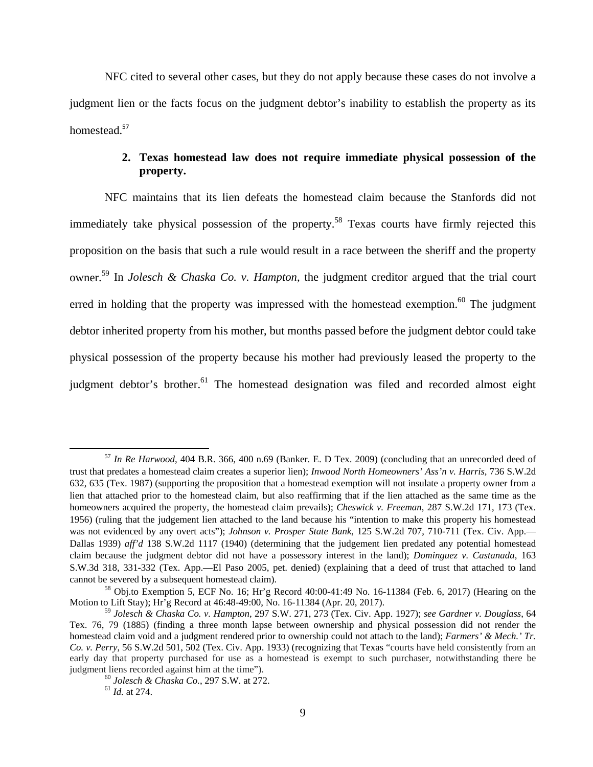NFC cited to several other cases, but they do not apply because these cases do not involve a judgment lien or the facts focus on the judgment debtor's inability to establish the property as its homestead.<sup>57</sup>

## **2. Texas homestead law does not require immediate physical possession of the property.**

NFC maintains that its lien defeats the homestead claim because the Stanfords did not immediately take physical possession of the property.<sup>58</sup> Texas courts have firmly rejected this proposition on the basis that such a rule would result in a race between the sheriff and the property owner.59 In *Jolesch & Chaska Co. v. Hampton*, the judgment creditor argued that the trial court erred in holding that the property was impressed with the homestead exemption. $60$  The judgment debtor inherited property from his mother, but months passed before the judgment debtor could take physical possession of the property because his mother had previously leased the property to the judgment debtor's brother.<sup>61</sup> The homestead designation was filed and recorded almost eight

 <sup>57</sup> *In Re Harwood*, 404 B.R. 366, 400 n.69 (Banker. E. D Tex. 2009) (concluding that an unrecorded deed of trust that predates a homestead claim creates a superior lien); *Inwood North Homeowners' Ass'n v. Harris*, 736 S.W.2d 632, 635 (Tex. 1987) (supporting the proposition that a homestead exemption will not insulate a property owner from a lien that attached prior to the homestead claim, but also reaffirming that if the lien attached as the same time as the homeowners acquired the property, the homestead claim prevails); *Cheswick v. Freeman*, 287 S.W.2d 171, 173 (Tex. 1956) (ruling that the judgement lien attached to the land because his "intention to make this property his homestead was not evidenced by any overt acts"); *Johnson v. Prosper State Bank*, 125 S.W.2d 707, 710-711 (Tex. Civ. App.— Dallas 1939) *aff'd* 138 S.W.2d 1117 (1940) (determining that the judgement lien predated any potential homestead claim because the judgment debtor did not have a possessory interest in the land); *Dominguez v. Castanada*, 163 S.W.3d 318, 331-332 (Tex. App.—El Paso 2005, pet. denied) (explaining that a deed of trust that attached to land cannot be severed by a subsequent homestead claim).<br><sup>58</sup> Obj.to Exemption 5, ECF No. 16; Hr'g Record 40:00-41:49 No. 16-11384 (Feb. 6, 2017) (Hearing on the

Motion to Lift Stay); Hr'g Record at 46:48-49:00, No. 16-11384 (Apr. 20, 2017).

<sup>59</sup> *Jolesch & Chaska Co. v. Hampton*, 297 S.W. 271, 273 (Tex. Civ. App. 1927); *see Gardner v. Douglass*, 64 Tex. 76, 79 (1885) (finding a three month lapse between ownership and physical possession did not render the homestead claim void and a judgment rendered prior to ownership could not attach to the land); *Farmers' & Mech.' Tr. Co. v. Perry*, 56 S.W.2d 501, 502 (Tex. Civ. App. 1933) (recognizing that Texas "courts have held consistently from an early day that property purchased for use as a homestead is exempt to such purchaser, notwithstanding there be judgment liens recorded against him at the time"). <sup>60</sup> *Jolesch & Chaska Co.*, 297 S.W. at 272. 61 *Id.* at 274.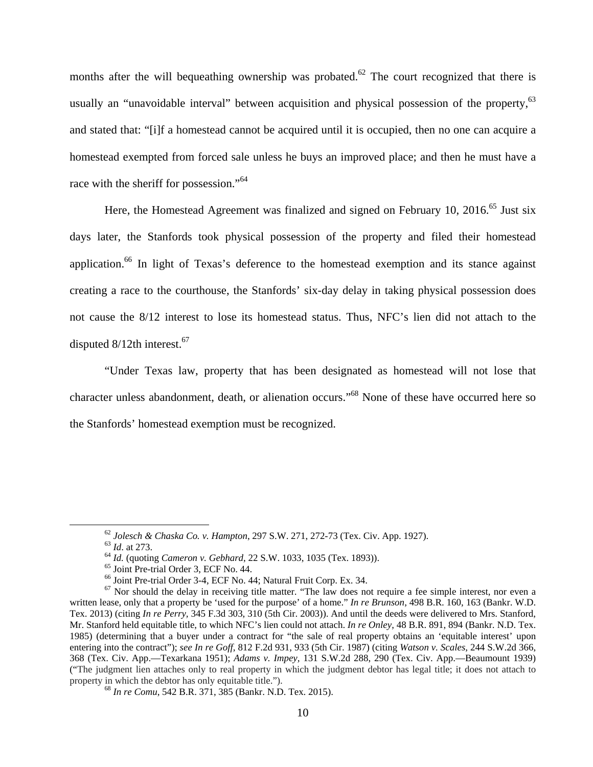months after the will bequeathing ownership was probated.<sup>62</sup> The court recognized that there is usually an "unavoidable interval" between acquisition and physical possession of the property, <sup>63</sup> and stated that: "[i]f a homestead cannot be acquired until it is occupied, then no one can acquire a homestead exempted from forced sale unless he buys an improved place; and then he must have a race with the sheriff for possession."<sup>64</sup>

Here, the Homestead Agreement was finalized and signed on February 10, 2016.<sup>65</sup> Just six days later, the Stanfords took physical possession of the property and filed their homestead application.<sup>66</sup> In light of Texas's deference to the homestead exemption and its stance against creating a race to the courthouse, the Stanfords' six-day delay in taking physical possession does not cause the 8/12 interest to lose its homestead status. Thus, NFC's lien did not attach to the disputed 8/12th interest.<sup>67</sup>

"Under Texas law, property that has been designated as homestead will not lose that character unless abandonment, death, or alienation occurs."68 None of these have occurred here so the Stanfords' homestead exemption must be recognized.

<sup>&</sup>lt;sup>62</sup> Jolesch & Chaska Co. v. Hampton, 297 S.W. 271, 272-73 (Tex. Civ. App. 1927).<br><sup>63</sup> Id. at 273.<br><sup>64</sup> Id. (quoting *Cameron v. Gebhard*, 22 S.W. 1033, 1035 (Tex. 1893)).<br><sup>65</sup> Joint Pre-trial Order 3, ECF No. 44.

<sup>66</sup> Joint Pre-trial Order 3-4, ECF No. 44; Natural Fruit Corp. Ex. 34.

 $67$  Nor should the delay in receiving title matter. "The law does not require a fee simple interest, nor even a written lease, only that a property be 'used for the purpose' of a home." *In re Brunson*, 498 B.R. 160, 163 (Bankr. W.D. Tex. 2013) (citing *In re Perry,* 345 F.3d 303, 310 (5th Cir. 2003)). And until the deeds were delivered to Mrs. Stanford, Mr. Stanford held equitable title, to which NFC's lien could not attach. *In re Onley*, 48 B.R. 891, 894 (Bankr. N.D. Tex. 1985) (determining that a buyer under a contract for "the sale of real property obtains an 'equitable interest' upon entering into the contract"); *see In re Goff*, 812 F.2d 931, 933 (5th Cir. 1987) (citing *Watson v. Scales,* 244 S.W.2d 366, 368 (Tex. Civ. App.—Texarkana 1951); *Adams v. Impey,* 131 S.W.2d 288, 290 (Tex. Civ. App.—Beaumount 1939) ("The judgment lien attaches only to real property in which the judgment debtor has legal title; it does not attach to property in which the debtor has only equitable title."). <sup>68</sup> *In re Comu*, 542 B.R. 371, 385 (Bankr. N.D. Tex. 2015).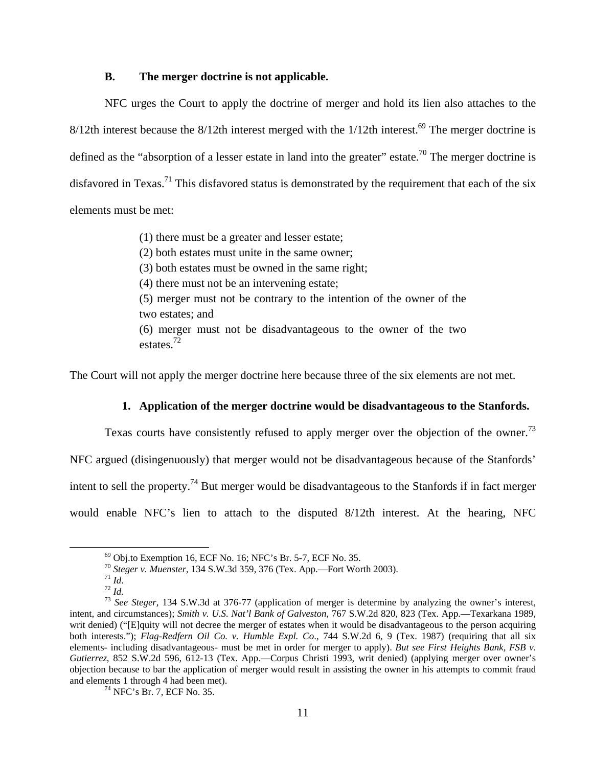#### **B. The merger doctrine is not applicable.**

NFC urges the Court to apply the doctrine of merger and hold its lien also attaches to the  $8/12$ th interest because the  $8/12$ th interest merged with the  $1/12$ th interest.<sup>69</sup> The merger doctrine is defined as the "absorption of a lesser estate in land into the greater" estate.<sup>70</sup> The merger doctrine is disfavored in Texas.<sup>71</sup> This disfavored status is demonstrated by the requirement that each of the six elements must be met:

(1) there must be a greater and lesser estate;

(2) both estates must unite in the same owner;

(3) both estates must be owned in the same right;

(4) there must not be an intervening estate;

(5) merger must not be contrary to the intention of the owner of the two estates; and

(6) merger must not be disadvantageous to the owner of the two estates.72

The Court will not apply the merger doctrine here because three of the six elements are not met.

## **1. Application of the merger doctrine would be disadvantageous to the Stanfords.**

Texas courts have consistently refused to apply merger over the objection of the owner.<sup>73</sup>

NFC argued (disingenuously) that merger would not be disadvantageous because of the Stanfords'

intent to sell the property.<sup>74</sup> But merger would be disadvantageous to the Stanfords if in fact merger

would enable NFC's lien to attach to the disputed 8/12th interest. At the hearing, NFC

<sup>&</sup>lt;sup>69</sup> Obj.to Exemption 16, ECF No. 16; NFC's Br. 5-7, ECF No. 35.<br><sup>70</sup> Steger v. Muenster, 134 S.W.3d 359, 376 (Tex. App.—Fort Worth 2003).

<sup>&</sup>lt;sup>71</sup> *Id.* <sup>72</sup> *Id.* <sup>72</sup> *Id.* <sup>73</sup> *See Steger*, 134 S.W.3d at 376-77 (application of merger is determine by analyzing the owner's interest, <sup>73</sup> *See Steger*, 134 S.W.3d at 376-77 (application of merger is determine b intent, and circumstances); *Smith v. U.S. Nat'l Bank of Galveston*, 767 S.W.2d 820, 823 (Tex. App.—Texarkana 1989, writ denied) ("[E]quity will not decree the merger of estates when it would be disadvantageous to the person acquiring both interests."); *Flag-Redfern Oil Co. v. Humble Expl. Co*., 744 S.W.2d 6, 9 (Tex. 1987) (requiring that all six elements- including disadvantageous- must be met in order for merger to apply). *But see First Heights Bank, FSB v. Gutierrez*, 852 S.W.2d 596, 612-13 (Tex. App.—Corpus Christi 1993, writ denied) (applying merger over owner's objection because to bar the application of merger would result in assisting the owner in his attempts to commit fraud and elements 1 through 4 had been met).<br><sup>74</sup> NFC's Br. 7, ECF No. 35.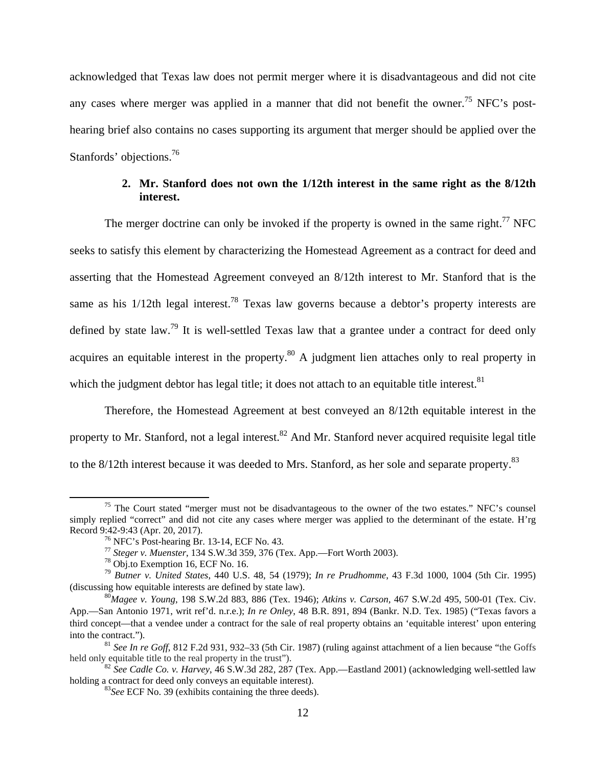acknowledged that Texas law does not permit merger where it is disadvantageous and did not cite any cases where merger was applied in a manner that did not benefit the owner.<sup>75</sup> NFC's posthearing brief also contains no cases supporting its argument that merger should be applied over the Stanfords' objections.<sup>76</sup>

## **2. Mr. Stanford does not own the 1/12th interest in the same right as the 8/12th interest.**

The merger doctrine can only be invoked if the property is owned in the same right.<sup>77</sup> NFC seeks to satisfy this element by characterizing the Homestead Agreement as a contract for deed and asserting that the Homestead Agreement conveyed an 8/12th interest to Mr. Stanford that is the same as his  $1/12$ th legal interest.<sup>78</sup> Texas law governs because a debtor's property interests are defined by state law.<sup>79</sup> It is well-settled Texas law that a grantee under a contract for deed only acquires an equitable interest in the property.<sup>80</sup> A judgment lien attaches only to real property in which the judgment debtor has legal title; it does not attach to an equitable title interest.  $81$ 

Therefore, the Homestead Agreement at best conveyed an 8/12th equitable interest in the property to Mr. Stanford, not a legal interest.<sup>82</sup> And Mr. Stanford never acquired requisite legal title to the 8/12th interest because it was deeded to Mrs. Stanford, as her sole and separate property.<sup>83</sup>

 $<sup>75</sup>$  The Court stated "merger must not be disadvantageous to the owner of the two estates." NFC's counsel</sup> simply replied "correct" and did not cite any cases where merger was applied to the determinant of the estate. H'rg Record 9:42-9:43 (Apr. 20, 2017). 76 NFC's Post-hearing Br. 13-14, ECF No. 43.

<sup>77</sup> *Steger v. Muenster*, 134 S.W.3d 359, 376 (Tex. App.—Fort Worth 2003). 78 Obj.to Exemption 16, ECF No. 16.

<sup>79</sup> *Butner v. United States*, 440 U.S. 48, 54 (1979); *In re Prudhomme*, 43 F.3d 1000, 1004 (5th Cir. 1995) (discussing how equitable interests are defined by state law). 80*Magee v. Young*, 198 S.W.2d 883, 886 (Tex. 1946); *Atkins v. Carson,* 467 S.W.2d 495, 500-01 (Tex. Civ.

App.—San Antonio 1971, writ ref'd. n.r.e.); *In re Onley*, 48 B.R. 891, 894 (Bankr. N.D. Tex. 1985) ("Texas favors a third concept—that a vendee under a contract for the sale of real property obtains an 'equitable interest' upon entering into the contract."). 81 *See In re Goff*, 812 F.2d 931, 932–33 (5th Cir. 1987) (ruling against attachment of a lien because "the Goffs

held only equitable title to the real property in the trust").<br><sup>82</sup> *See Cadle Co. v. Harvey*, 46 S.W.3d 282, 287 (Tex. App.—Eastland 2001) (acknowledging well-settled law

holding a contract for deed only conveys an equitable interest). <sup>83</sup>*See* ECF No. 39 (exhibits containing the three deeds).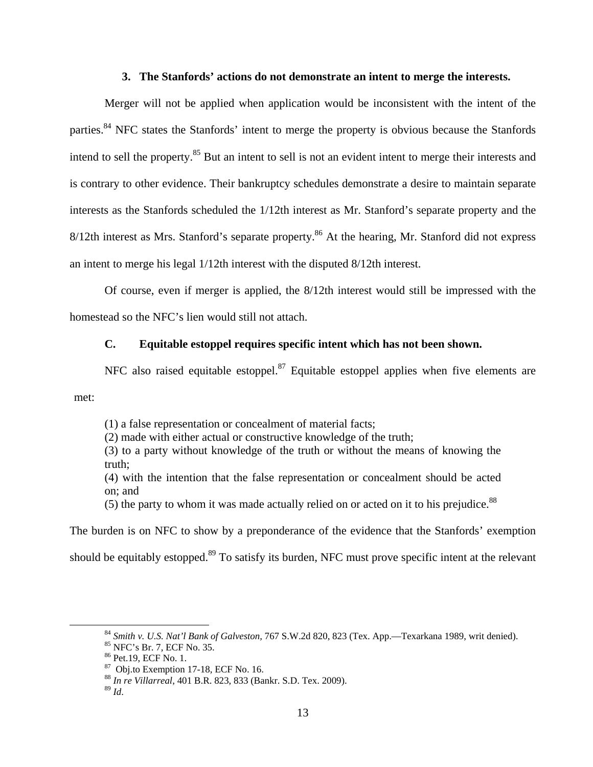#### **3. The Stanfords' actions do not demonstrate an intent to merge the interests.**

Merger will not be applied when application would be inconsistent with the intent of the parties.<sup>84</sup> NFC states the Stanfords' intent to merge the property is obvious because the Stanfords intend to sell the property.<sup>85</sup> But an intent to sell is not an evident intent to merge their interests and is contrary to other evidence. Their bankruptcy schedules demonstrate a desire to maintain separate interests as the Stanfords scheduled the 1/12th interest as Mr. Stanford's separate property and the 8/12th interest as Mrs. Stanford's separate property.<sup>86</sup> At the hearing, Mr. Stanford did not express an intent to merge his legal 1/12th interest with the disputed 8/12th interest.

Of course, even if merger is applied, the 8/12th interest would still be impressed with the homestead so the NFC's lien would still not attach.

## **C. Equitable estoppel requires specific intent which has not been shown.**

NFC also raised equitable estoppel. $87$  Equitable estoppel applies when five elements are met:

(1) a false representation or concealment of material facts;

(2) made with either actual or constructive knowledge of the truth;

(3) to a party without knowledge of the truth or without the means of knowing the truth;

(4) with the intention that the false representation or concealment should be acted on; and

(5) the party to whom it was made actually relied on or acted on it to his prejudice.<sup>88</sup>

The burden is on NFC to show by a preponderance of the evidence that the Stanfords' exemption

should be equitably estopped.<sup>89</sup> To satisfy its burden, NFC must prove specific intent at the relevant

<sup>&</sup>lt;sup>84</sup> *Smith v. U.S. Nat'l Bank of Galveston*, 767 S.W.2d 820, 823 (Tex. App.—Texarkana 1989, writ denied). <sup>85</sup> NFC's Br. 7, ECF No. 35.

<sup>86</sup> Pet.19, ECF No. 1.

 $87$  Obj.to Exemption 17-18, ECF No. 16.

<sup>88</sup> *In re Villarreal*, 401 B.R. 823, 833 (Bankr. S.D. Tex. 2009).

<sup>89</sup> *Id*.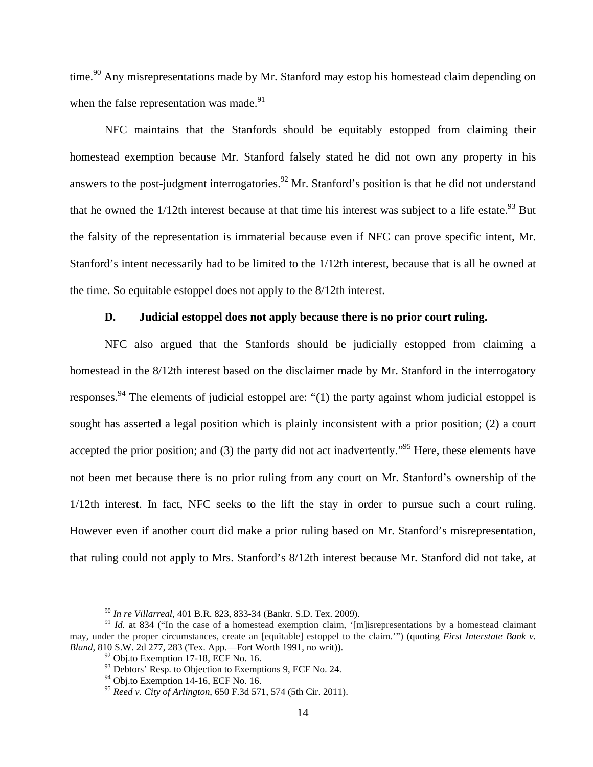time.<sup>90</sup> Any misrepresentations made by Mr. Stanford may estop his homestead claim depending on when the false representation was made.<sup>91</sup>

NFC maintains that the Stanfords should be equitably estopped from claiming their homestead exemption because Mr. Stanford falsely stated he did not own any property in his answers to the post-judgment interrogatories.<sup>92</sup> Mr. Stanford's position is that he did not understand that he owned the  $1/12$ th interest because at that time his interest was subject to a life estate.<sup>93</sup> But the falsity of the representation is immaterial because even if NFC can prove specific intent, Mr. Stanford's intent necessarily had to be limited to the 1/12th interest, because that is all he owned at the time. So equitable estoppel does not apply to the 8/12th interest.

### **D. Judicial estoppel does not apply because there is no prior court ruling.**

NFC also argued that the Stanfords should be judicially estopped from claiming a homestead in the 8/12th interest based on the disclaimer made by Mr. Stanford in the interrogatory responses.<sup>94</sup> The elements of judicial estoppel are: "(1) the party against whom judicial estoppel is sought has asserted a legal position which is plainly inconsistent with a prior position; (2) a court accepted the prior position; and (3) the party did not act inadvertently."<sup>95</sup> Here, these elements have not been met because there is no prior ruling from any court on Mr. Stanford's ownership of the 1/12th interest. In fact, NFC seeks to the lift the stay in order to pursue such a court ruling. However even if another court did make a prior ruling based on Mr. Stanford's misrepresentation, that ruling could not apply to Mrs. Stanford's 8/12th interest because Mr. Stanford did not take, at

 <sup>90</sup> *In re Villarreal*, 401 B.R. 823, 833-34 (Bankr. S.D. Tex. 2009).

<sup>&</sup>lt;sup>91</sup> *Id.* at 834 ("In the case of a homestead exemption claim, '[m]isrepresentations by a homestead claimant may, under the proper circumstances, create an [equitable] estoppel to the claim.'") (quoting *First Interstate Bank v. Bland*, 810 S.W. 2d 277, 283 (Tex. App.—Fort Worth 1991, no writ)). <sup>92</sup> Obj.to Exemption 17-18, ECF No. 16.

 $93$  Debtors' Resp. to Objection to Exemptions 9, ECF No. 24.

 $94$  Obj.to Exemption 14-16, ECF No. 16.

<sup>95</sup> *Reed v. City of Arlington*, 650 F.3d 571, 574 (5th Cir. 2011).